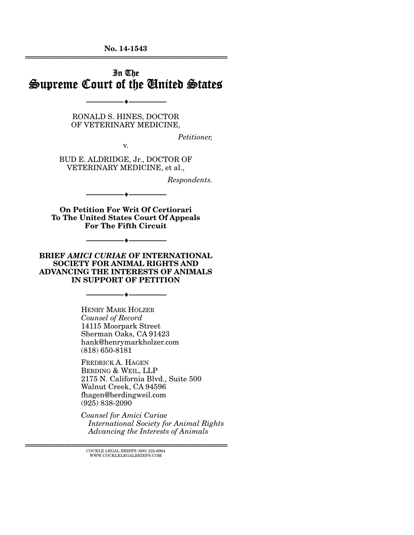**No. 14-1543**  ================================================================

### In The Supreme Court of the United States

RONALD S. HINES, DOCTOR OF VETERINARY MEDICINE,

--------------------------------- ---------------------------------

*Petitioner,* 

v.

BUD E. ALDRIDGE, Jr., DOCTOR OF VETERINARY MEDICINE, et al.,

*Respondents.* 

**On Petition For Writ Of Certiorari To The United States Court Of Appeals For The Fifth Circuit**

--------------------------------- ---------------------------------

--------------------------------- ---------------------------------

**BRIEF** *AMICI CURIAE* **OF INTERNATIONAL SOCIETY FOR ANIMAL RIGHTS AND ADVANCING THE INTERESTS OF ANIMALS IN SUPPORT OF PETITION** 

--------------------------------- ---------------------------------

HENRY MARK HOLZER *Counsel of Record* 14115 Moorpark Street Sherman Oaks, CA 91423 hank@henrymarkholzer.com (818) 650-8181

FREDRICK A. HAGEN BERDING & WEIL, LLP 2175 N. California Blvd., Suite 500 Walnut Creek, CA 94596 fhagen@berdingweil.com (925) 838-2090

*Counsel for Amici Curiae International Society for Animal Rights Advancing the Interests of Animals* 

================================================================ COCKLE LEGAL BRIEFS (800) 225-6964 WWW.COCKLELEGALBRIEFS.COM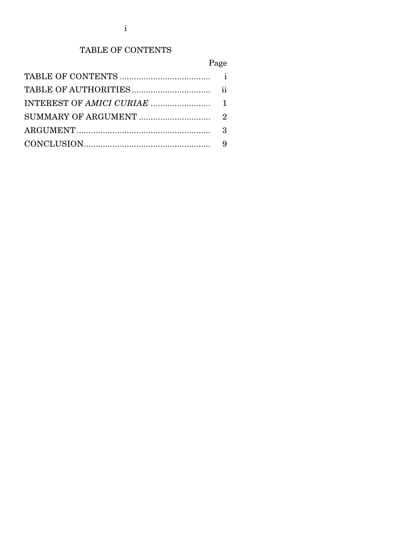# TABLE OF CONTENTS

# Page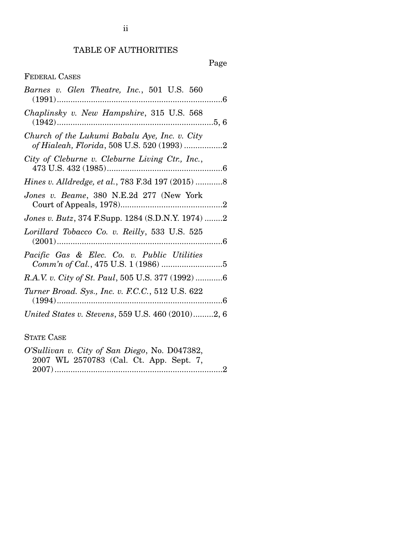## TABLE OF AUTHORITIES

## Page

### FEDERAL CASES

| Barnes v. Glen Theatre, Inc., 501 U.S. 560                                                  |
|---------------------------------------------------------------------------------------------|
| Chaplinsky v. New Hampshire, 315 U.S. 568                                                   |
| Church of the Lukumi Babalu Aye, Inc. v. City<br>of Hialeah, Florida, 508 U.S. 520 (1993) 2 |
| City of Cleburne v. Cleburne Living Ctr., Inc.,                                             |
| Hines v. Alldredge, et al., 783 F.3d 197 (2015) 8                                           |
| Jones v. Beame, 380 N.E.2d 277 (New York                                                    |
| Jones v. Butz, 374 F.Supp. 1284 (S.D.N.Y. 1974) 2                                           |
| Lorillard Tobacco Co. v. Reilly, 533 U.S. 525                                               |
| Pacific Gas & Elec. Co. v. Public Utilities                                                 |
| R.A.V. v. City of St. Paul, 505 U.S. 377 (1992) 6                                           |
| Turner Broad. Sys., Inc. v. F.C.C., 512 U.S. 622                                            |
| United States v. Stevens, 559 U.S. 460 (2010)2, 6                                           |

STATE CASE

| O'Sullivan v. City of San Diego, No. D047382, |  |                                         |  |  |
|-----------------------------------------------|--|-----------------------------------------|--|--|
|                                               |  | 2007 WL 2570783 (Cal. Ct. App. Sept. 7, |  |  |
|                                               |  |                                         |  |  |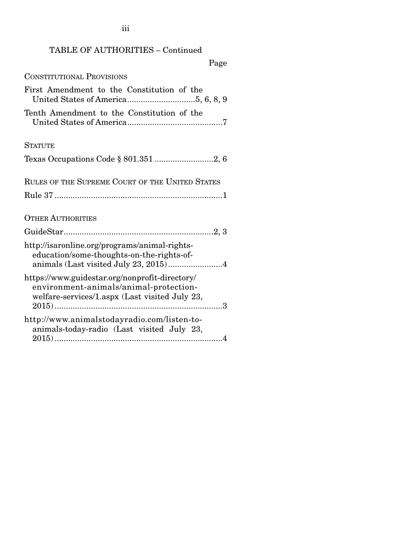### TABLE OF AUTHORITIES – Continued

iii

Page

CONSTITUTIONAL PROVISIONS

| First Amendment to the Constitution of the      |
|-------------------------------------------------|
| Tenth Amendment to the Constitution of the      |
| <b>STATITE</b>                                  |
|                                                 |
| RULES OF THE SUPREME COURT OF THE UNITED STATES |
|                                                 |
|                                                 |

OTHER AUTHORITIES

| http://isaronline.org/programs/animal-rights-<br>education/some-thoughts-on-the-rights-of-<br>animals (Last visited July 23, 2015)4        |
|--------------------------------------------------------------------------------------------------------------------------------------------|
| https://www.guidestar.org/nonprofit-directory/<br>environment-animals/animal-protection-<br>welfare-services/1.aspx (Last visited July 23, |
| http://www.animalstodayradio.com/listen-to-<br>animals-today-radio (Last visited July 23,                                                  |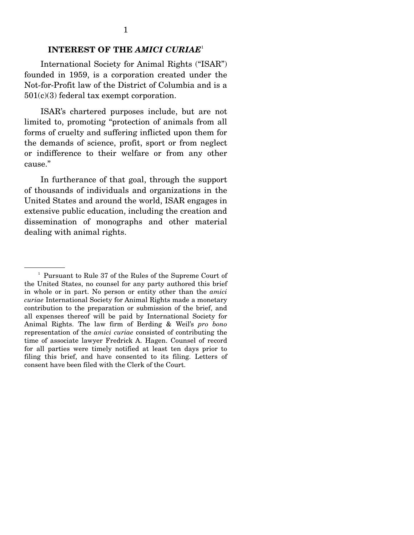### **INTEREST OF THE** *AMICI CURIAE*<sup>1</sup>

 International Society for Animal Rights ("ISAR") founded in 1959, is a corporation created under the Not-for-Profit law of the District of Columbia and is a 501(c)(3) federal tax exempt corporation.

 ISAR's chartered purposes include, but are not limited to, promoting "protection of animals from all forms of cruelty and suffering inflicted upon them for the demands of science, profit, sport or from neglect or indifference to their welfare or from any other cause."

 In furtherance of that goal, through the support of thousands of individuals and organizations in the United States and around the world, ISAR engages in extensive public education, including the creation and dissemination of monographs and other material dealing with animal rights.

<sup>&</sup>lt;sup>1</sup> Pursuant to Rule 37 of the Rules of the Supreme Court of the United States, no counsel for any party authored this brief in whole or in part. No person or entity other than the *amici curiae* International Society for Animal Rights made a monetary contribution to the preparation or submission of the brief, and all expenses thereof will be paid by International Society for Animal Rights. The law firm of Berding & Weil's *pro bono* representation of the *amici curiae* consisted of contributing the time of associate lawyer Fredrick A. Hagen. Counsel of record for all parties were timely notified at least ten days prior to filing this brief, and have consented to its filing. Letters of consent have been filed with the Clerk of the Court.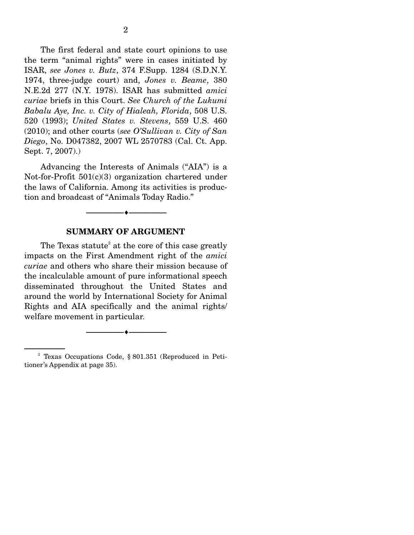The first federal and state court opinions to use the term "animal rights" were in cases initiated by ISAR, *see Jones v. Butz*, 374 F.Supp. 1284 (S.D.N.Y. 1974, three-judge court) and, *Jones v. Beame*, 380 N.E.2d 277 (N.Y. 1978). ISAR has submitted *amici curiae* briefs in this Court. *See Church of the Lukumi Babalu Aye, Inc. v. City of Hialeah, Florida*, 508 U.S. 520 (1993); *United States v. Stevens*, 559 U.S. 460 (2010); and other courts (*see O'Sullivan v. City of San Diego*, No. D047382, 2007 WL 2570783 (Cal. Ct. App. Sept. 7, 2007).)

 Advancing the Interests of Animals ("AIA") is a Not-for-Profit 501(c)(3) organization chartered under the laws of California. Among its activities is production and broadcast of "Animals Today Radio."

#### **SUMMARY OF ARGUMENT**

--------------------------------- ---------------------------------

The Texas statute<sup>2</sup> at the core of this case greatly impacts on the First Amendment right of the *amici curiae* and others who share their mission because of the incalculable amount of pure informational speech disseminated throughout the United States and around the world by International Society for Animal Rights and AIA specifically and the animal rights/ welfare movement in particular.

--------------------------------- ---------------------------------

<sup>2</sup> Texas Occupations Code, § 801.351 (Reproduced in Petitioner's Appendix at page 35).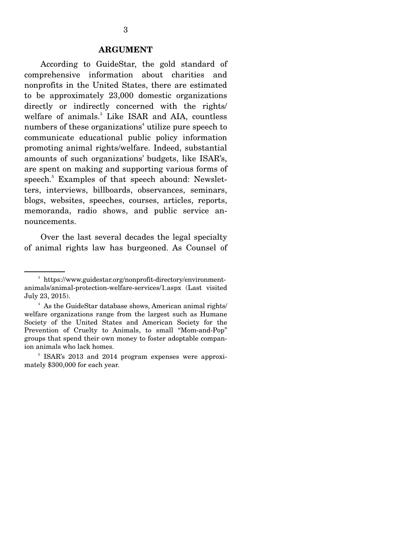#### **ARGUMENT**

 According to GuideStar, the gold standard of comprehensive information about charities and nonprofits in the United States, there are estimated to be approximately 23,000 domestic organizations directly or indirectly concerned with the rights/ welfare of animals.<sup>3</sup> Like ISAR and AIA, countless numbers of these organizations<sup>4</sup> utilize pure speech to communicate educational public policy information promoting animal rights/welfare. Indeed, substantial amounts of such organizations' budgets, like ISAR's, are spent on making and supporting various forms of speech.<sup>5</sup> Examples of that speech abound: Newsletters, interviews, billboards, observances, seminars, blogs, websites, speeches, courses, articles, reports, memoranda, radio shows, and public service announcements.

 Over the last several decades the legal specialty of animal rights law has burgeoned. As Counsel of

<sup>3</sup> https://www.guidestar.org/nonprofit-directory/environmentanimals/animal-protection-welfare-services/1.aspx (Last visited July 23, 2015).

<sup>&</sup>lt;sup>4</sup> As the GuideStar database shows, American animal rights/ welfare organizations range from the largest such as Humane Society of the United States and American Society for the Prevention of Cruelty to Animals, to small "Mom-and-Pop" groups that spend their own money to foster adoptable companion animals who lack homes.

<sup>5</sup> ISAR's 2013 and 2014 program expenses were approximately \$300,000 for each year.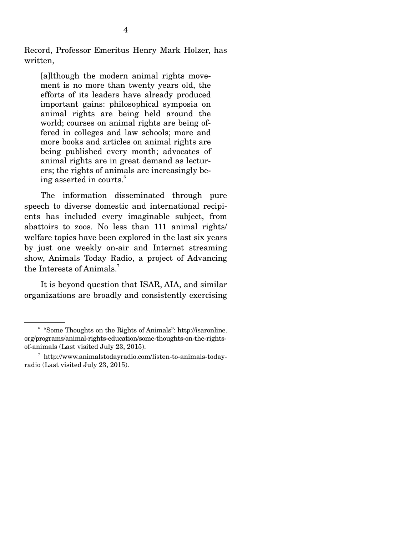Record, Professor Emeritus Henry Mark Holzer, has written,

[a]lthough the modern animal rights movement is no more than twenty years old, the efforts of its leaders have already produced important gains: philosophical symposia on animal rights are being held around the world; courses on animal rights are being offered in colleges and law schools; more and more books and articles on animal rights are being published every month; advocates of animal rights are in great demand as lecturers; the rights of animals are increasingly being asserted in courts.<sup>6</sup>

 The information disseminated through pure speech to diverse domestic and international recipients has included every imaginable subject, from abattoirs to zoos. No less than 111 animal rights/ welfare topics have been explored in the last six years by just one weekly on-air and Internet streaming show, Animals Today Radio, a project of Advancing the Interests of Animals.<sup>7</sup>

It is beyond question that ISAR, AIA, and similar organizations are broadly and consistently exercising

<sup>&</sup>lt;sup>6</sup> "Some Thoughts on the Rights of Animals": http://isaronline. org/programs/animal-rights-education/some-thoughts-on-the-rightsof-animals (Last visited July 23, 2015).

<sup>7</sup> http://www.animalstodayradio.com/listen-to-animals-todayradio (Last visited July 23, 2015).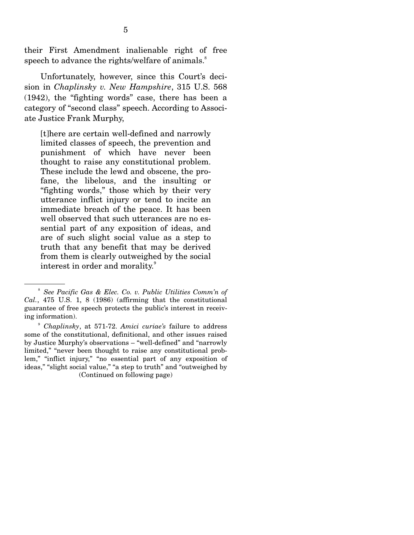their First Amendment inalienable right of free speech to advance the rights/welfare of animals.<sup>8</sup>

 Unfortunately, however, since this Court's decision in *Chaplinsky v. New Hampshire*, 315 U.S. 568 (1942), the "fighting words" case, there has been a category of "second class" speech. According to Associate Justice Frank Murphy,

[t]here are certain well-defined and narrowly limited classes of speech, the prevention and punishment of which have never been thought to raise any constitutional problem. These include the lewd and obscene, the profane, the libelous, and the insulting or "fighting words," those which by their very utterance inflict injury or tend to incite an immediate breach of the peace. It has been well observed that such utterances are no essential part of any exposition of ideas, and are of such slight social value as a step to truth that any benefit that may be derived from them is clearly outweighed by the social interest in order and morality.<sup>9</sup>

<sup>8</sup> *See Pacific Gas & Elec. Co. v. Public Utilities Comm'n of Cal.*, 475 U.S. 1, 8 (1986) (affirming that the constitutional guarantee of free speech protects the public's interest in receiving information).

<sup>9</sup> *Chaplinsky*, at 571-72. *Amici curiae's* failure to address some of the constitutional, definitional, and other issues raised by Justice Murphy's observations – "well-defined" and "narrowly limited," "never been thought to raise any constitutional problem," "inflict injury," "no essential part of any exposition of ideas," "slight social value," "a step to truth" and "outweighed by (Continued on following page)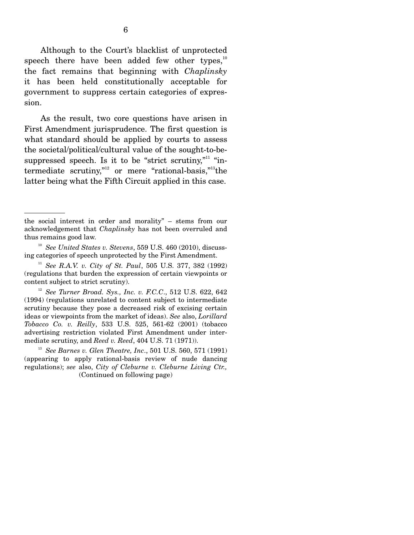Although to the Court's blacklist of unprotected speech there have been added few other types, $10$ the fact remains that beginning with *Chaplinsky*  it has been held constitutionally acceptable for government to suppress certain categories of expression.

 As the result, two core questions have arisen in First Amendment jurisprudence. The first question is what standard should be applied by courts to assess the societal/political/cultural value of the sought-to-besuppressed speech. Is it to be "strict scrutiny,"<sup>11</sup> "intermediate scrutiny,"<sup>12</sup> or mere "rational-basis,"<sup>13</sup>the latter being what the Fifth Circuit applied in this case.

the social interest in order and morality" – stems from our acknowledgement that *Chaplinsky* has not been overruled and thus remains good law.

<sup>10</sup> *See United States v. Stevens*, 559 U.S. 460 (2010), discussing categories of speech unprotected by the First Amendment.

<sup>11</sup> *See R.A.V. v. City of St. Paul*, 505 U.S. 377, 382 (1992) (regulations that burden the expression of certain viewpoints or content subject to strict scrutiny).

<sup>12</sup> *See Turner Broad. Sys., Inc. v. F.C.C*., 512 U.S. 622, 642 (1994) (regulations unrelated to content subject to intermediate scrutiny because they pose a decreased risk of excising certain ideas or viewpoints from the market of ideas). *See* also, *Lorillard Tobacco Co. v. Reilly*, 533 U.S. 525, 561-62 (2001) (tobacco advertising restriction violated First Amendment under intermediate scrutiny, and *Reed v. Reed*, 404 U.S. 71 (1971)).

<sup>13</sup> *See Barnes v. Glen Theatre, Inc*., 501 U.S. 560, 571 (1991) (appearing to apply rational-basis review of nude dancing regulations); *see* also, *City of Cleburne v. Cleburne Living Ctr.,* (Continued on following page)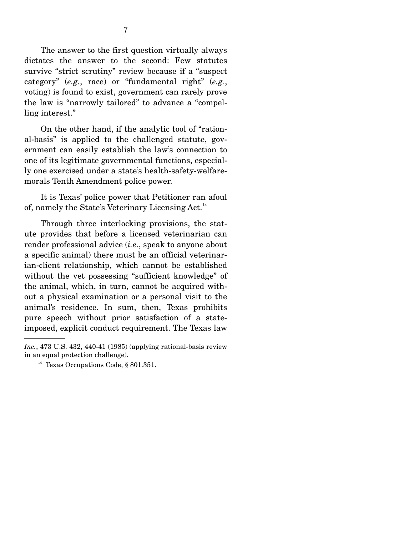The answer to the first question virtually always dictates the answer to the second: Few statutes survive "strict scrutiny" review because if a "suspect category" (*e.g.*, race) or "fundamental right" (*e.g.*, voting) is found to exist, government can rarely prove the law is "narrowly tailored" to advance a "compelling interest."

 On the other hand, if the analytic tool of "rational-basis" is applied to the challenged statute, government can easily establish the law's connection to one of its legitimate governmental functions, especially one exercised under a state's health-safety-welfaremorals Tenth Amendment police power.

 It is Texas' police power that Petitioner ran afoul of, namely the State's Veterinary Licensing Act.<sup>14</sup>

 Through three interlocking provisions, the statute provides that before a licensed veterinarian can render professional advice (*i.e*., speak to anyone about a specific animal) there must be an official veterinarian-client relationship, which cannot be established without the vet possessing "sufficient knowledge" of the animal, which, in turn, cannot be acquired without a physical examination or a personal visit to the animal's residence. In sum, then, Texas prohibits pure speech without prior satisfaction of a stateimposed, explicit conduct requirement. The Texas law

*Inc.*, 473 U.S. 432, 440-41 (1985) (applying rational-basis review in an equal protection challenge).

<sup>&</sup>lt;sup>14</sup> Texas Occupations Code,  $§ 801.351$ .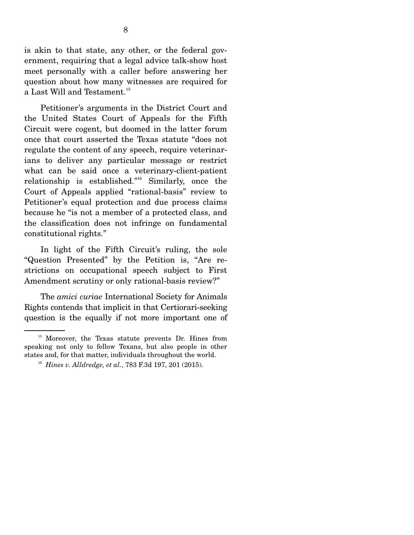is akin to that state, any other, or the federal government, requiring that a legal advice talk-show host meet personally with a caller before answering her question about how many witnesses are required for a Last Will and Testament. $^{15}$ 

 Petitioner's arguments in the District Court and the United States Court of Appeals for the Fifth Circuit were cogent, but doomed in the latter forum once that court asserted the Texas statute "does not regulate the content of any speech, require veterinarians to deliver any particular message or restrict what can be said once a veterinary-client-patient relationship is established."16 Similarly, once the Court of Appeals applied "rational-basis" review to Petitioner's equal protection and due process claims because he "is not a member of a protected class, and the classification does not infringe on fundamental constitutional rights."

 In light of the Fifth Circuit's ruling, the sole "Question Presented" by the Petition is, "Are restrictions on occupational speech subject to First Amendment scrutiny or only rational-basis review?"

 The *amici curiae* International Society for Animals Rights contends that implicit in that Certiorari-seeking question is the equally if not more important one of

<sup>&</sup>lt;sup>15</sup> Moreover, the Texas statute prevents Dr. Hines from speaking not only to fellow Texans, but also people in other states and, for that matter, individuals throughout the world.

<sup>16</sup> *Hines v. Alldredge, et al.*, 783 F.3d 197, 201 (2015).